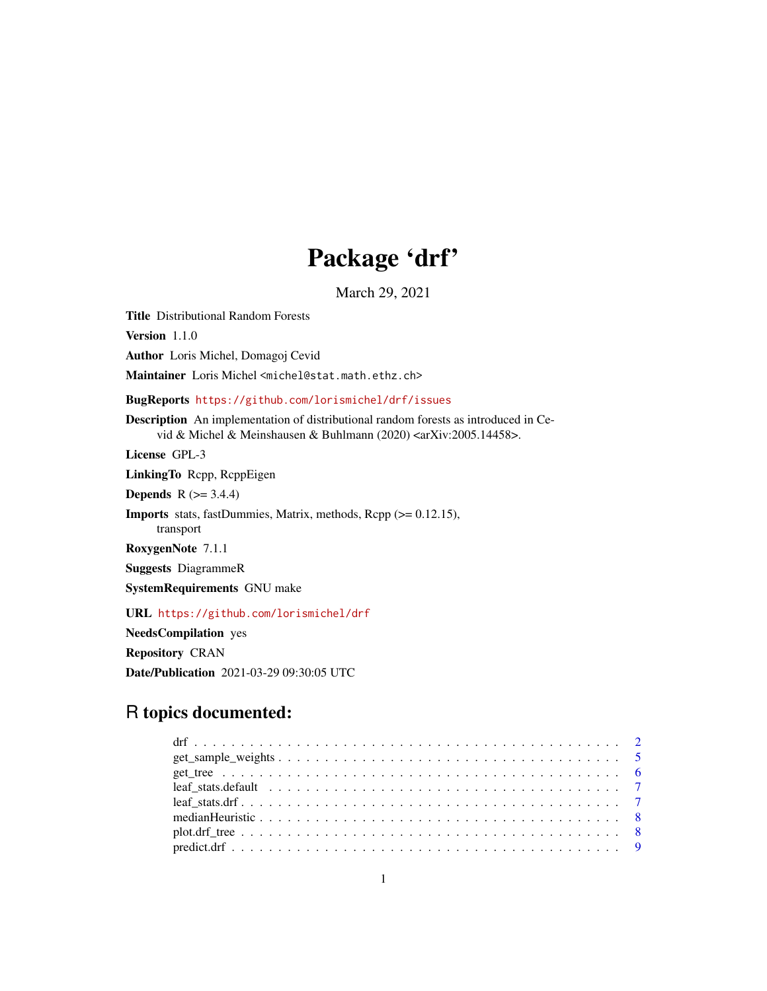## Package 'drf'

March 29, 2021

Title Distributional Random Forests Version 1.1.0 Author Loris Michel, Domagoj Cevid Maintainer Loris Michel <michel@stat.math.ethz.ch> BugReports <https://github.com/lorismichel/drf/issues> Description An implementation of distributional random forests as introduced in Cevid & Michel & Meinshausen & Buhlmann (2020) <arXiv:2005.14458>. License GPL-3 LinkingTo Rcpp, RcppEigen **Depends**  $R$  ( $>= 3.4.4$ ) Imports stats, fastDummies, Matrix, methods, Rcpp (>= 0.12.15), transport RoxygenNote 7.1.1 Suggests DiagrammeR SystemRequirements GNU make URL <https://github.com/lorismichel/drf>

NeedsCompilation yes Repository CRAN Date/Publication 2021-03-29 09:30:05 UTC

### R topics documented:

| $predict. df             9$ |  |
|-----------------------------|--|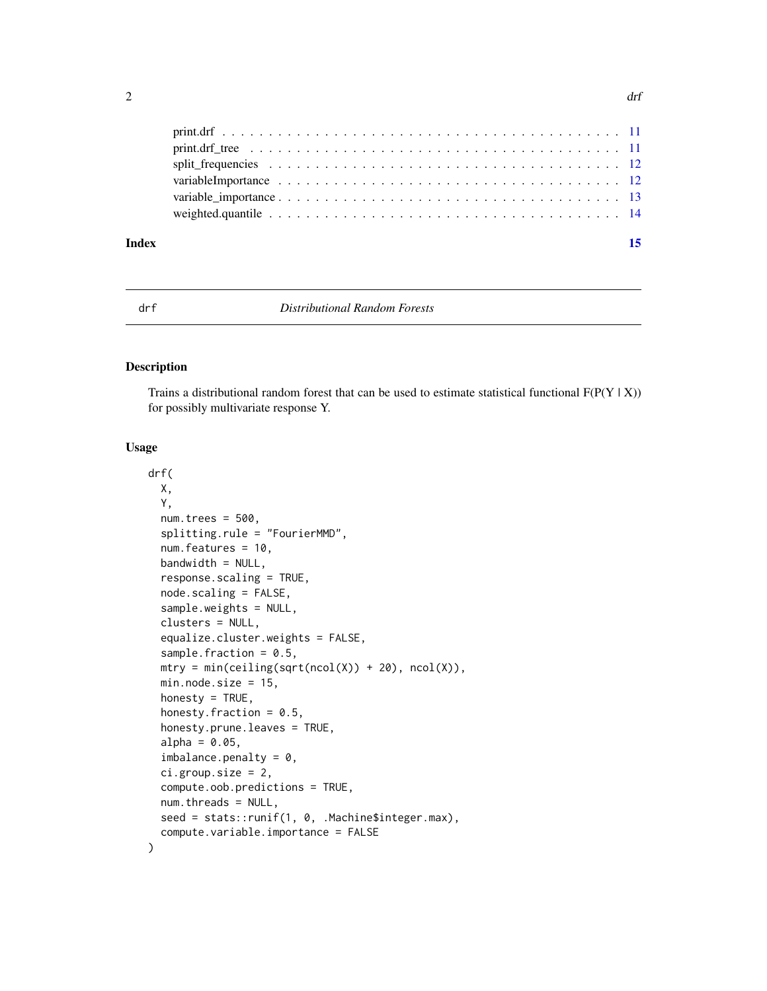<span id="page-1-0"></span>

| Index | 15 |
|-------|----|
|       |    |
|       |    |
|       |    |
|       |    |
|       |    |
|       |    |

#### drf *Distributional Random Forests*

#### Description

Trains a distributional random forest that can be used to estimate statistical functional  $F(P(Y | X))$ for possibly multivariate response Y.

#### Usage

```
drf(
 X,
  Y,
 num.trees = 500.
  splitting.rule = "FourierMMD",
  num.features = 10,
 bandwidth = NULL,response.scaling = TRUE,
  node.scaling = FALSE,
  sample.weights = NULL,
  clusters = NULL,
  equalize.cluster.weights = FALSE,
  sample.fraction = 0.5,
 mtry = min(ceiling(sqrt(ncol(X)) + 20), ncol(X)),min.node.size = 15,
  honesty = TRUE,
  honesty. fraction = 0.5,
  honesty.prune.leaves = TRUE,
  alpha = 0.05,
  imbalance.penalty = 0,ci.group.size = 2,
  compute.oob.predictions = TRUE,
  num.threads = NULL,
  seed = stats:: runif(1, 0, .Machine$integer.max),
  compute.variable.importance = FALSE
)
```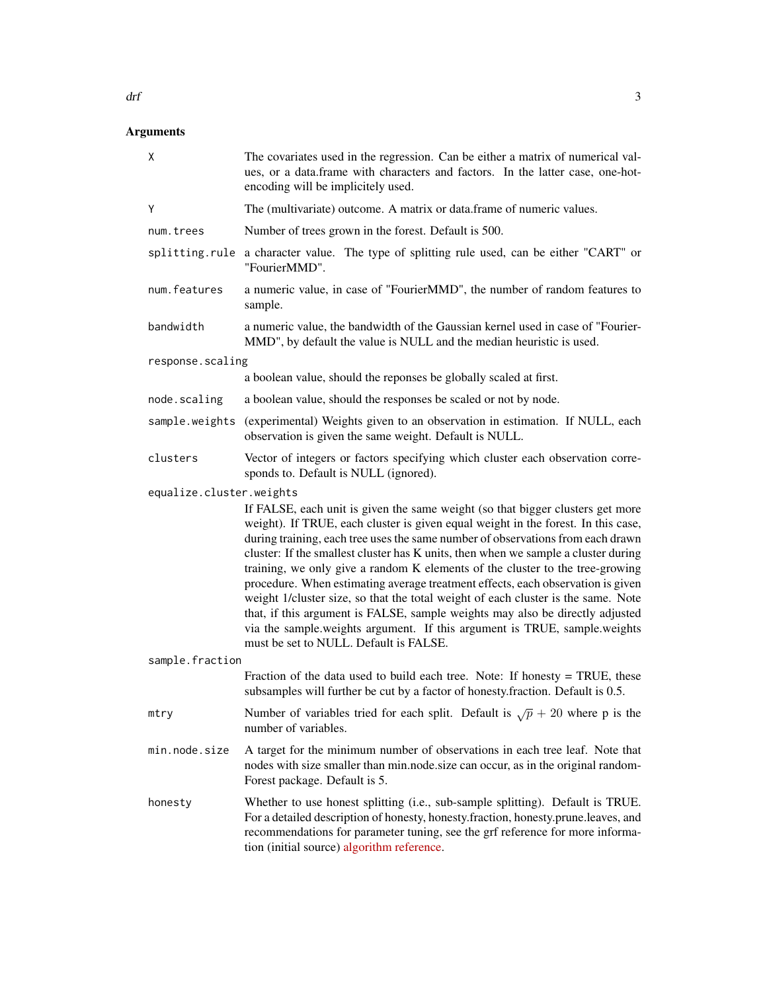| Χ                        | The covariates used in the regression. Can be either a matrix of numerical val-<br>ues, or a data.frame with characters and factors. In the latter case, one-hot-<br>encoding will be implicitely used.                                                                                                                                                                                                                                                                                                                                                                                                                                                                                                                                                                                                       |
|--------------------------|---------------------------------------------------------------------------------------------------------------------------------------------------------------------------------------------------------------------------------------------------------------------------------------------------------------------------------------------------------------------------------------------------------------------------------------------------------------------------------------------------------------------------------------------------------------------------------------------------------------------------------------------------------------------------------------------------------------------------------------------------------------------------------------------------------------|
| Υ                        | The (multivariate) outcome. A matrix or data.frame of numeric values.                                                                                                                                                                                                                                                                                                                                                                                                                                                                                                                                                                                                                                                                                                                                         |
| num.trees                | Number of trees grown in the forest. Default is 500.                                                                                                                                                                                                                                                                                                                                                                                                                                                                                                                                                                                                                                                                                                                                                          |
| splitting.rule           | a character value. The type of splitting rule used, can be either "CART" or<br>"FourierMMD".                                                                                                                                                                                                                                                                                                                                                                                                                                                                                                                                                                                                                                                                                                                  |
| num.features             | a numeric value, in case of "FourierMMD", the number of random features to<br>sample.                                                                                                                                                                                                                                                                                                                                                                                                                                                                                                                                                                                                                                                                                                                         |
| bandwidth                | a numeric value, the bandwidth of the Gaussian kernel used in case of "Fourier-<br>MMD", by default the value is NULL and the median heuristic is used.                                                                                                                                                                                                                                                                                                                                                                                                                                                                                                                                                                                                                                                       |
| response.scaling         |                                                                                                                                                                                                                                                                                                                                                                                                                                                                                                                                                                                                                                                                                                                                                                                                               |
|                          | a boolean value, should the reponses be globally scaled at first.                                                                                                                                                                                                                                                                                                                                                                                                                                                                                                                                                                                                                                                                                                                                             |
| node.scaling             | a boolean value, should the responses be scaled or not by node.                                                                                                                                                                                                                                                                                                                                                                                                                                                                                                                                                                                                                                                                                                                                               |
| sample.weights           | (experimental) Weights given to an observation in estimation. If NULL, each<br>observation is given the same weight. Default is NULL.                                                                                                                                                                                                                                                                                                                                                                                                                                                                                                                                                                                                                                                                         |
| clusters                 | Vector of integers or factors specifying which cluster each observation corre-<br>sponds to. Default is NULL (ignored).                                                                                                                                                                                                                                                                                                                                                                                                                                                                                                                                                                                                                                                                                       |
| equalize.cluster.weights |                                                                                                                                                                                                                                                                                                                                                                                                                                                                                                                                                                                                                                                                                                                                                                                                               |
|                          | If FALSE, each unit is given the same weight (so that bigger clusters get more<br>weight). If TRUE, each cluster is given equal weight in the forest. In this case,<br>during training, each tree uses the same number of observations from each drawn<br>cluster: If the smallest cluster has K units, then when we sample a cluster during<br>training, we only give a random K elements of the cluster to the tree-growing<br>procedure. When estimating average treatment effects, each observation is given<br>weight 1/cluster size, so that the total weight of each cluster is the same. Note<br>that, if this argument is FALSE, sample weights may also be directly adjusted<br>via the sample.weights argument. If this argument is TRUE, sample.weights<br>must be set to NULL. Default is FALSE. |
| sample.fraction          |                                                                                                                                                                                                                                                                                                                                                                                                                                                                                                                                                                                                                                                                                                                                                                                                               |
|                          | Fraction of the data used to build each tree. Note: If honesty = TRUE, these<br>subsamples will further be cut by a factor of honesty.fraction. Default is 0.5.                                                                                                                                                                                                                                                                                                                                                                                                                                                                                                                                                                                                                                               |
| mtry                     | Number of variables tried for each split. Default is $\sqrt{p} + 20$ where p is the<br>number of variables.                                                                                                                                                                                                                                                                                                                                                                                                                                                                                                                                                                                                                                                                                                   |
| min.node.size            | A target for the minimum number of observations in each tree leaf. Note that<br>nodes with size smaller than min.node.size can occur, as in the original random-<br>Forest package. Default is 5.                                                                                                                                                                                                                                                                                                                                                                                                                                                                                                                                                                                                             |
| honesty                  | Whether to use honest splitting (i.e., sub-sample splitting). Default is TRUE.<br>For a detailed description of honesty, honesty.fraction, honesty.prune.leaves, and<br>recommendations for parameter tuning, see the grf reference for more informa-<br>tion (initial source) algorithm reference.                                                                                                                                                                                                                                                                                                                                                                                                                                                                                                           |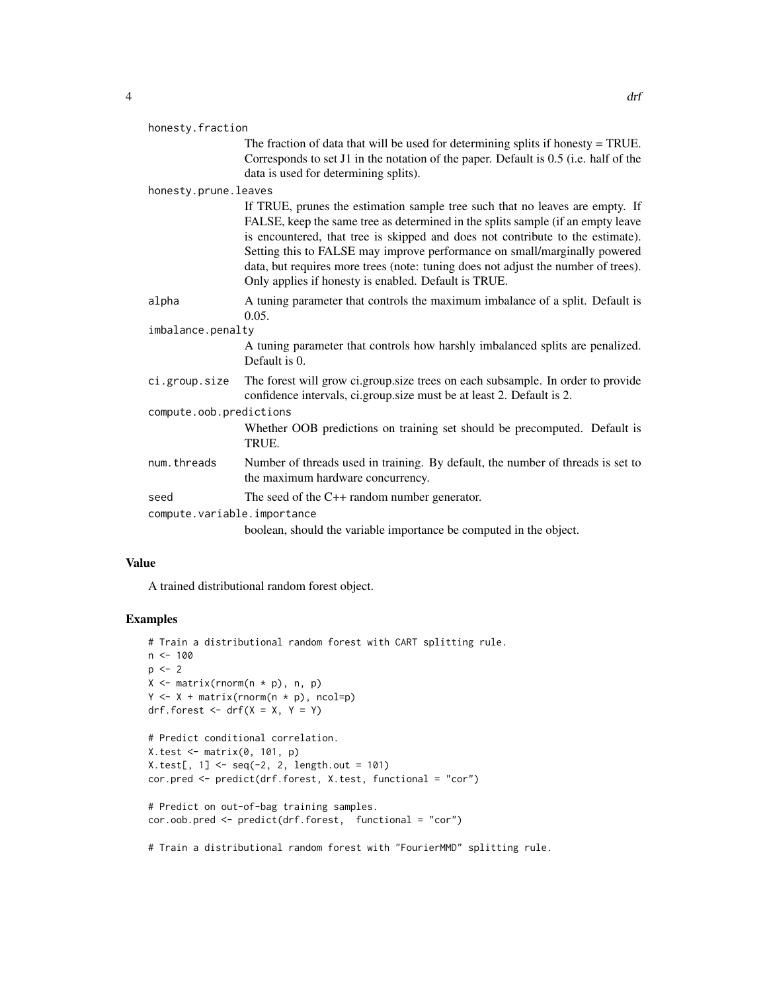| v |   |  |
|---|---|--|
|   | ш |  |

|                         | honesty.fraction            |                                                                                                                                                                                                                                                                                                                                                                                                                                                                             |  |
|-------------------------|-----------------------------|-----------------------------------------------------------------------------------------------------------------------------------------------------------------------------------------------------------------------------------------------------------------------------------------------------------------------------------------------------------------------------------------------------------------------------------------------------------------------------|--|
|                         |                             | The fraction of data that will be used for determining splits if honesty $=$ TRUE.<br>Corresponds to set J1 in the notation of the paper. Default is 0.5 (i.e. half of the<br>data is used for determining splits).                                                                                                                                                                                                                                                         |  |
|                         | honesty.prune.leaves        |                                                                                                                                                                                                                                                                                                                                                                                                                                                                             |  |
|                         |                             | If TRUE, prunes the estimation sample tree such that no leaves are empty. If<br>FALSE, keep the same tree as determined in the splits sample (if an empty leave<br>is encountered, that tree is skipped and does not contribute to the estimate).<br>Setting this to FALSE may improve performance on small/marginally powered<br>data, but requires more trees (note: tuning does not adjust the number of trees).<br>Only applies if honesty is enabled. Default is TRUE. |  |
|                         | alpha                       | A tuning parameter that controls the maximum imbalance of a split. Default is<br>0.05.                                                                                                                                                                                                                                                                                                                                                                                      |  |
|                         | imbalance.penalty           |                                                                                                                                                                                                                                                                                                                                                                                                                                                                             |  |
|                         |                             | A tuning parameter that controls how harshly imbalanced splits are penalized.<br>Default is 0.                                                                                                                                                                                                                                                                                                                                                                              |  |
|                         | ci.group.size               | The forest will grow ci.group.size trees on each subsample. In order to provide<br>confidence intervals, ci.group.size must be at least 2. Default is 2.                                                                                                                                                                                                                                                                                                                    |  |
| compute.oob.predictions |                             |                                                                                                                                                                                                                                                                                                                                                                                                                                                                             |  |
|                         |                             | Whether OOB predictions on training set should be precomputed. Default is<br>TRUE.                                                                                                                                                                                                                                                                                                                                                                                          |  |
|                         | num.threads                 | Number of threads used in training. By default, the number of threads is set to<br>the maximum hardware concurrency.                                                                                                                                                                                                                                                                                                                                                        |  |
|                         | seed                        | The seed of the $C++$ random number generator.                                                                                                                                                                                                                                                                                                                                                                                                                              |  |
|                         | compute.variable.importance |                                                                                                                                                                                                                                                                                                                                                                                                                                                                             |  |
|                         |                             | boolean, should the variable importance be computed in the object.                                                                                                                                                                                                                                                                                                                                                                                                          |  |

#### Value

A trained distributional random forest object.

#### Examples

```
# Train a distributional random forest with CART splitting rule.
n <- 100
p \le -2X \leftarrow matrix(rnorm(n * p), n, p)Y \leftarrow X + \text{matrix}(rnorm(n * p), \text{ncol=p})drf.forest \leq - drf(X = X, Y = Y)
# Predict conditional correlation.
X.test <- matrix(0, 101, p)
X.test[, 1] < -seq(-2, 2, length.out = 101)cor.pred <- predict(drf.forest, X.test, functional = "cor")
# Predict on out-of-bag training samples.
cor.oob.pred <- predict(drf.forest, functional = "cor")
```
# Train a distributional random forest with "FourierMMD" splitting rule.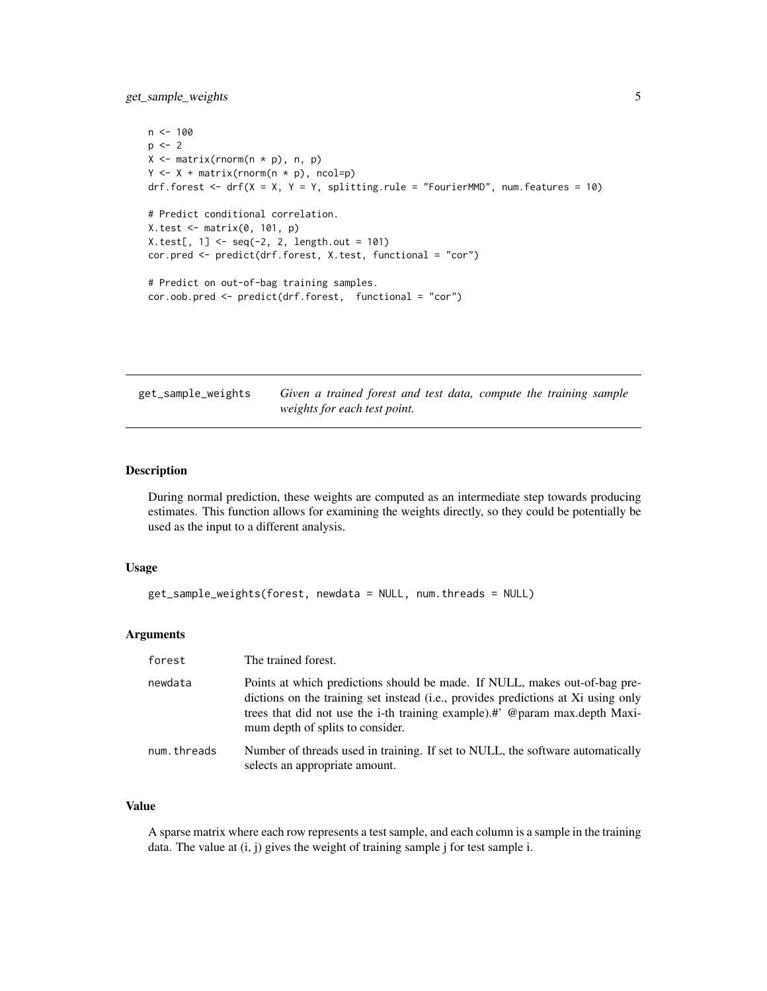<span id="page-4-0"></span>get\_sample\_weights 5

```
n < - 100p \le -2X \leftarrow matrix(rnorm(n * p), n, p)Y \leftarrow X + \text{matrix}(r \text{norm}(n * p), \text{ncol=p})drf.forest \le - drf(X = X, Y = Y, splitting.rule = "FourierMMD", num.features = 10)
# Predict conditional correlation.
X.test < - matrix(0, 101, p)X.test[, 1] < -seq(-2, 2, length.out = 101)cor.pred <- predict(drf.forest, X.test, functional = "cor")
# Predict on out-of-bag training samples.
cor.oob.pred <- predict(drf.forest, functional = "cor")
```
get\_sample\_weights *Given a trained forest and test data, compute the training sample weights for each test point.*

#### Description

During normal prediction, these weights are computed as an intermediate step towards producing estimates. This function allows for examining the weights directly, so they could be potentially be used as the input to a different analysis.

#### Usage

```
get_sample_weights(forest, newdata = NULL, num.threads = NULL)
```
#### Arguments

| forest      | The trained forest.                                                                                                                                                                                                                                                                |
|-------------|------------------------------------------------------------------------------------------------------------------------------------------------------------------------------------------------------------------------------------------------------------------------------------|
| newdata     | Points at which predictions should be made. If NULL, makes out-of-bag pre-<br>dictions on the training set instead (i.e., provides predictions at Xi using only<br>trees that did not use the i-th training example).#' @param max.depth Maxi-<br>mum depth of splits to consider. |
| num.threads | Number of threads used in training. If set to NULL, the software automatically<br>selects an appropriate amount.                                                                                                                                                                   |

#### Value

A sparse matrix where each row represents a test sample, and each column is a sample in the training data. The value at  $(i, j)$  gives the weight of training sample j for test sample i.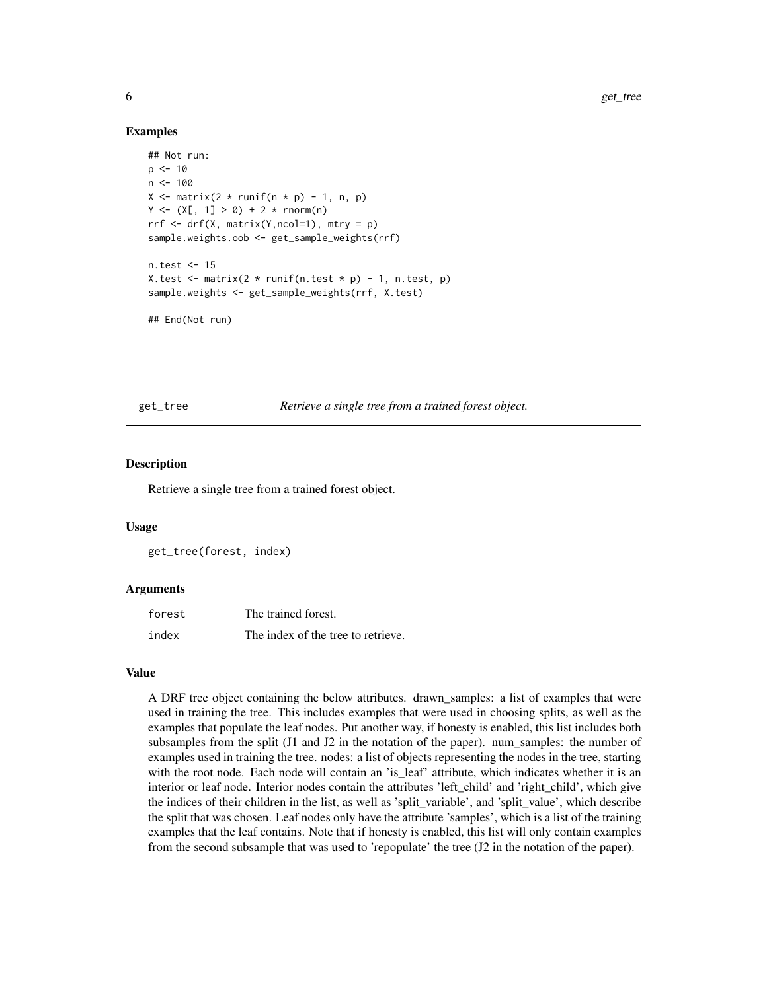#### Examples

```
## Not run:
p \le -10n < - 100X \leq - matrix(2 * runif(n * p) - 1, n, p)
Y \leq - (X[, 1] > 0) + 2 * \text{norm}(n)rrf \leq -drf(X, matrix(Y, ncol=1), mtry = p)sample.weights.oob <- get_sample_weights(rrf)
n.test <- 15
X.test \leq matrix(2 \star runif(n.test \star p) - 1, n.test, p)
sample.weights <- get_sample_weights(rrf, X.test)
## End(Not run)
```
#### get\_tree *Retrieve a single tree from a trained forest object.*

#### Description

Retrieve a single tree from a trained forest object.

#### Usage

get\_tree(forest, index)

#### Arguments

| forest | The trained forest.                |
|--------|------------------------------------|
| index  | The index of the tree to retrieve. |

#### Value

A DRF tree object containing the below attributes. drawn\_samples: a list of examples that were used in training the tree. This includes examples that were used in choosing splits, as well as the examples that populate the leaf nodes. Put another way, if honesty is enabled, this list includes both subsamples from the split  $(J1$  and  $J2$  in the notation of the paper). num\_samples: the number of examples used in training the tree. nodes: a list of objects representing the nodes in the tree, starting with the root node. Each node will contain an 'is leaf' attribute, which indicates whether it is an interior or leaf node. Interior nodes contain the attributes 'left\_child' and 'right\_child', which give the indices of their children in the list, as well as 'split\_variable', and 'split\_value', which describe the split that was chosen. Leaf nodes only have the attribute 'samples', which is a list of the training examples that the leaf contains. Note that if honesty is enabled, this list will only contain examples from the second subsample that was used to 'repopulate' the tree (J2 in the notation of the paper).

<span id="page-5-0"></span>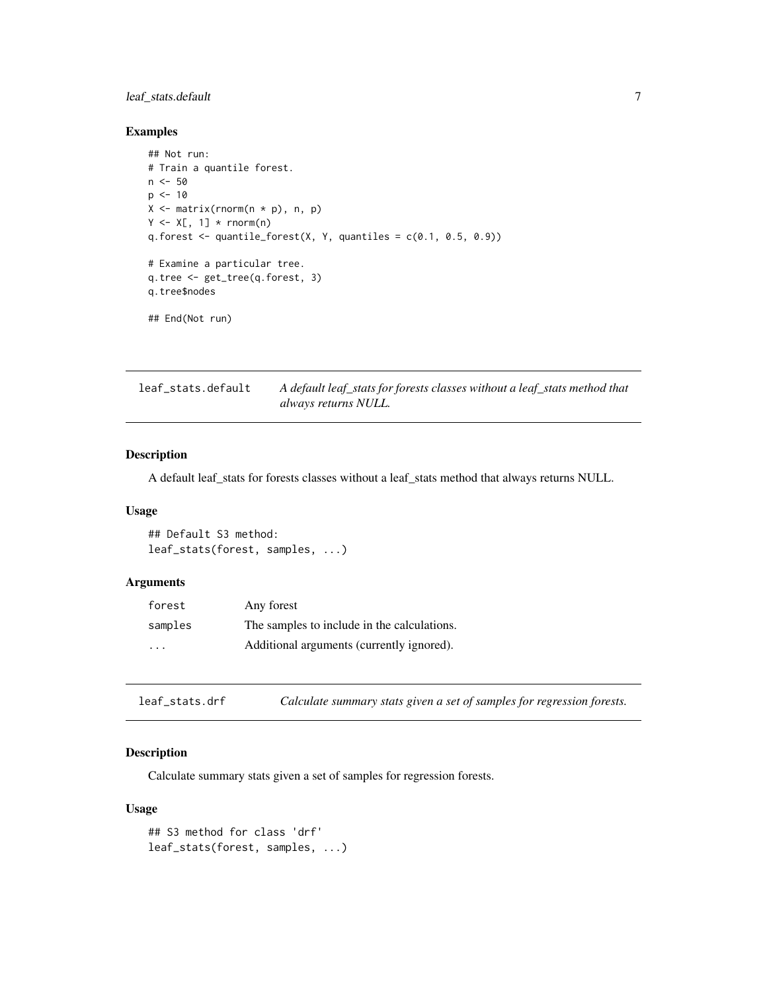#### <span id="page-6-0"></span>leaf\_stats.default 7

#### Examples

```
## Not run:
# Train a quantile forest.
n < -50p \le -10X \leftarrow matrix(rnorm(n * p), n, p)Y \leftarrow X[, 1] * rnorm(n)q.forest \leq quantile_forest(X, Y, quantiles = c(0.1, 0.5, 0.9))
# Examine a particular tree.
q.tree <- get_tree(q.forest, 3)
q.tree$nodes
## End(Not run)
```
leaf\_stats.default *A default leaf\_stats for forests classes without a leaf\_stats method that always returns NULL.*

#### Description

A default leaf\_stats for forests classes without a leaf\_stats method that always returns NULL.

#### Usage

## Default S3 method: leaf\_stats(forest, samples, ...)

#### Arguments

| forest                  | Any forest                                  |
|-------------------------|---------------------------------------------|
| samples                 | The samples to include in the calculations. |
| $\cdot$ $\cdot$ $\cdot$ | Additional arguments (currently ignored).   |

leaf\_stats.drf *Calculate summary stats given a set of samples for regression forests.*

#### Description

Calculate summary stats given a set of samples for regression forests.

#### Usage

```
## S3 method for class 'drf'
leaf_stats(forest, samples, ...)
```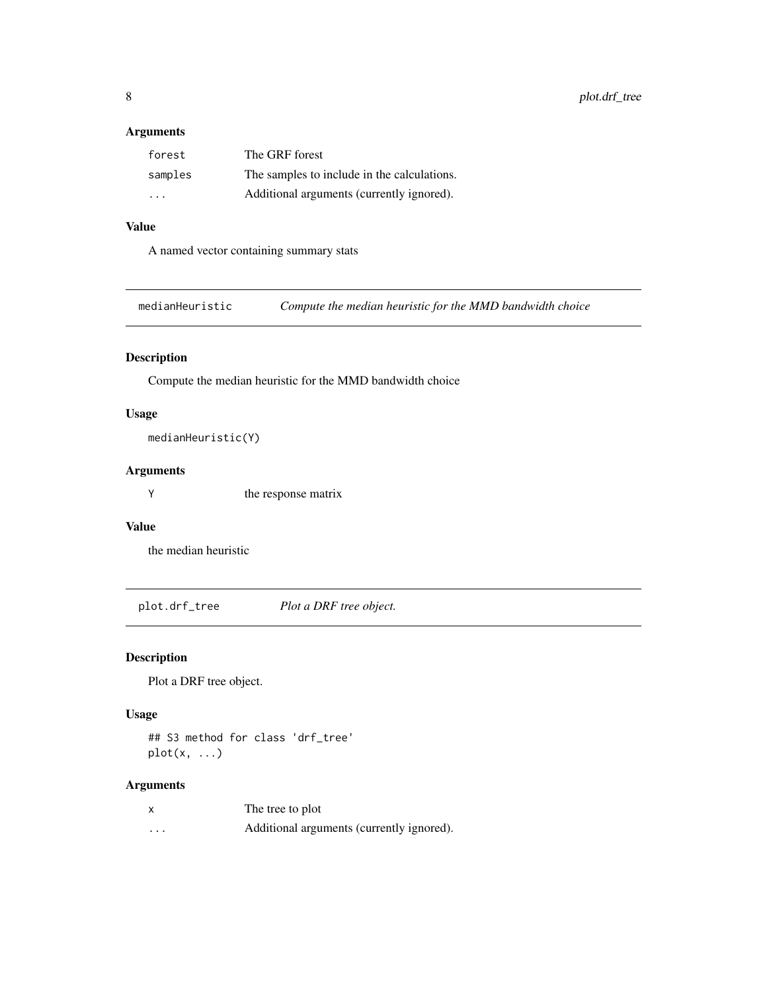#### <span id="page-7-0"></span>Arguments

| forest  | The GRF forest                              |
|---------|---------------------------------------------|
| samples | The samples to include in the calculations. |
| .       | Additional arguments (currently ignored).   |

#### Value

A named vector containing summary stats

medianHeuristic *Compute the median heuristic for the MMD bandwidth choice*

#### Description

Compute the median heuristic for the MMD bandwidth choice

#### Usage

medianHeuristic(Y)

#### Arguments

Y the response matrix

#### Value

the median heuristic

plot.drf\_tree *Plot a DRF tree object.*

#### Description

Plot a DRF tree object.

#### Usage

## S3 method for class 'drf\_tree'  $plot(x, \ldots)$ 

| X | The tree to plot                          |
|---|-------------------------------------------|
| . | Additional arguments (currently ignored). |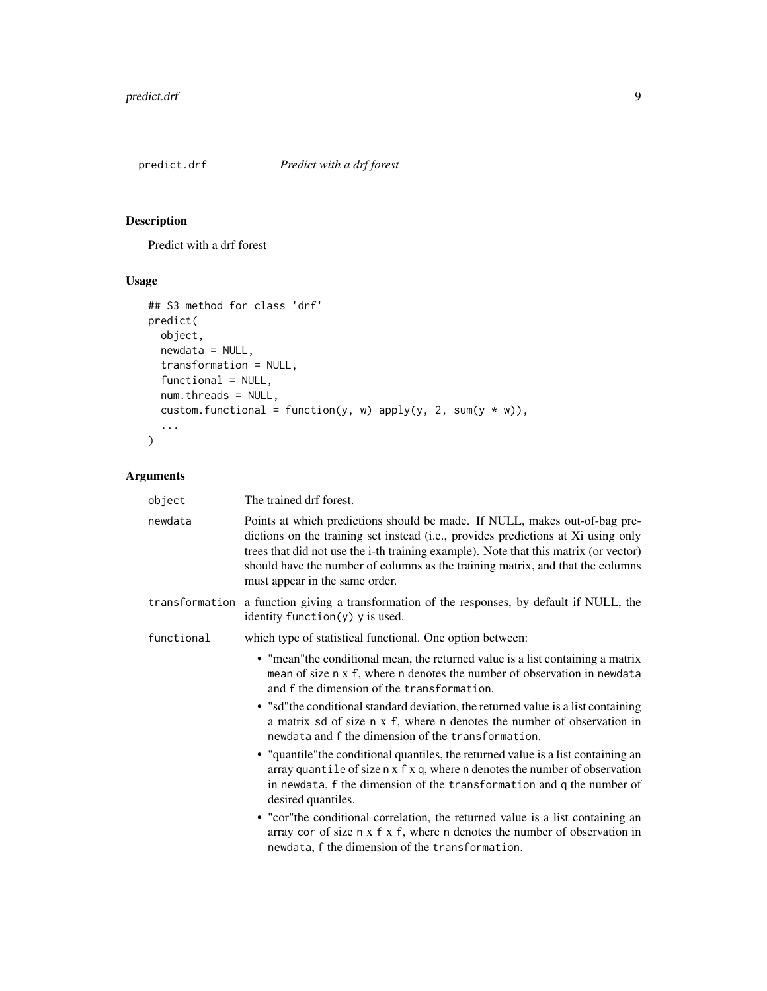<span id="page-8-0"></span>

#### Description

Predict with a drf forest

#### Usage

```
## S3 method for class 'drf'
predict(
  object,
  newdata = NULL,
  transformation = NULL,
  functional = NULL,
  num.threads = NULL,
  custom.functional = function(y, w) apply(y, 2, sum(y * w)),
  ...
\mathcal{L}
```

| object     | The trained drf forest.                                                                                                                                                                                                                                                                                                                                                     |
|------------|-----------------------------------------------------------------------------------------------------------------------------------------------------------------------------------------------------------------------------------------------------------------------------------------------------------------------------------------------------------------------------|
| newdata    | Points at which predictions should be made. If NULL, makes out-of-bag pre-<br>dictions on the training set instead (i.e., provides predictions at Xi using only<br>trees that did not use the i-th training example). Note that this matrix (or vector)<br>should have the number of columns as the training matrix, and that the columns<br>must appear in the same order. |
|            | transformation a function giving a transformation of the responses, by default if NULL, the<br>identity function $(y)$ y is used.                                                                                                                                                                                                                                           |
| functional | which type of statistical functional. One option between:                                                                                                                                                                                                                                                                                                                   |
|            | • "mean" the conditional mean, the returned value is a list containing a matrix<br>mean of size n x f, where n denotes the number of observation in newdata<br>and f the dimension of the transformation.                                                                                                                                                                   |
|            | • "sd"the conditional standard deviation, the returned value is a list containing<br>a matrix sd of size n x f, where n denotes the number of observation in<br>newdata and f the dimension of the transformation.                                                                                                                                                          |
|            | • "quantile" the conditional quantiles, the returned value is a list containing an<br>array quantile of size n x f x q, where n denotes the number of observation<br>in newdata, f the dimension of the transformation and q the number of<br>desired quantiles.                                                                                                            |
|            | • "cor" the conditional correlation, the returned value is a list containing an<br>array cor of size n x f x f, where n denotes the number of observation in<br>newdata, f the dimension of the transformation.                                                                                                                                                             |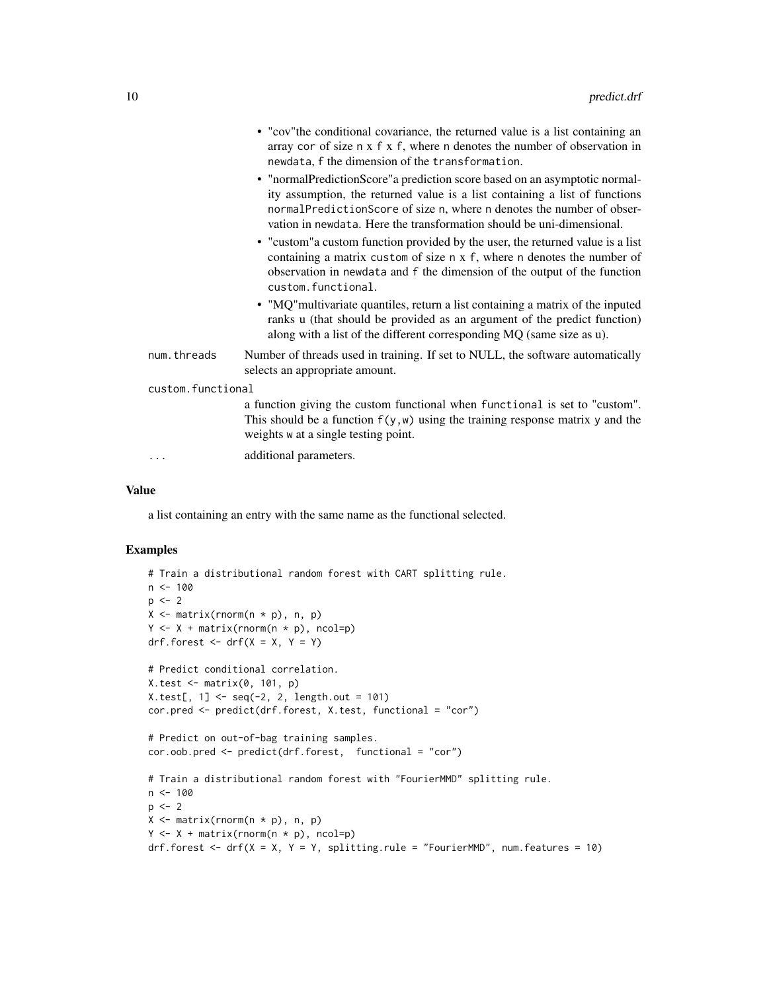|                   | • "cov" the conditional covariance, the returned value is a list containing an<br>array cor of size $n \times f \times f$ , where n denotes the number of observation in<br>newdata, f the dimension of the transformation.                                                                                  |
|-------------------|--------------------------------------------------------------------------------------------------------------------------------------------------------------------------------------------------------------------------------------------------------------------------------------------------------------|
|                   | • "normalPredictionScore" a prediction score based on an asymptotic normal-<br>ity assumption, the returned value is a list containing a list of functions<br>normalPredictionScore of size n, where n denotes the number of obser-<br>vation in newdata. Here the transformation should be uni-dimensional. |
|                   | • "custom" a custom function provided by the user, the returned value is a list<br>containing a matrix custom of size n x f, where n denotes the number of<br>observation in newdata and f the dimension of the output of the function<br>custom.functional.                                                 |
|                   | • "MQ" multivariate quantiles, return a list containing a matrix of the inputed<br>ranks u (that should be provided as an argument of the predict function)<br>along with a list of the different corresponding MQ (same size as u).                                                                         |
| num.threads       | Number of threads used in training. If set to NULL, the software automatically<br>selects an appropriate amount.                                                                                                                                                                                             |
| custom.functional |                                                                                                                                                                                                                                                                                                              |
|                   | a function giving the custom functional when functional is set to "custom".<br>This should be a function $f(y, w)$ using the training response matrix y and the<br>weights w at a single testing point.                                                                                                      |
|                   | additional parameters.                                                                                                                                                                                                                                                                                       |
|                   |                                                                                                                                                                                                                                                                                                              |

#### Value

a list containing an entry with the same name as the functional selected.

#### Examples

```
# Train a distributional random forest with CART splitting rule.
n < - 100p \le -2X \leftarrow matrix(rnorm(n * p), n, p)Y \leftarrow X + \text{matrix}(r \text{norm}(n * p), \text{ncol=p})drf.forest \leq - drf(X = X, Y = Y)
# Predict conditional correlation.
X.test \leftarrow matrix(0, 101, p)X.test[, 1] <- seq(-2, 2, length.out = 101)cor.pred <- predict(drf.forest, X.test, functional = "cor")
# Predict on out-of-bag training samples.
cor.oob.pred <- predict(drf.forest, functional = "cor")
# Train a distributional random forest with "FourierMMD" splitting rule.
n < -100p \le -2X \leftarrow matrix(rnorm(n * p), n, p)Y \leftarrow X + \text{matrix}(rnorm(n * p), \text{ncol=p})drf.forest \le - drf(X = X, Y = Y, splitting.rule = "FourierMMD", num.features = 10)
```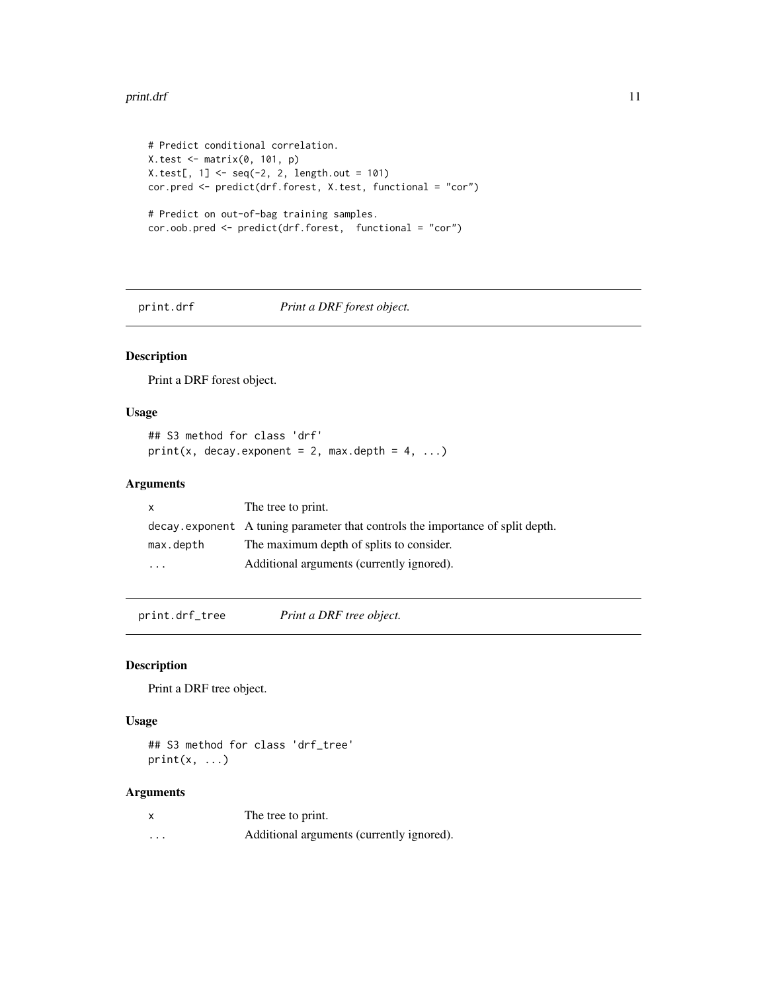#### <span id="page-10-0"></span>print.drf 11

```
# Predict conditional correlation.
X.test <- matrix(0, 101, p)
X.test[, 1] < -seq(-2, 2, length.out = 101)cor.pred <- predict(drf.forest, X.test, functional = "cor")
# Predict on out-of-bag training samples.
cor.oob.pred <- predict(drf.forest, functional = "cor")
```
#### print.drf *Print a DRF forest object.*

#### Description

Print a DRF forest object.

#### Usage

## S3 method for class 'drf'  $print(x, decay.event = 2, max.depth = 4, ...)$ 

#### Arguments

|           | The tree to print.                                                             |
|-----------|--------------------------------------------------------------------------------|
|           | decay exponent A tuning parameter that controls the importance of split depth. |
| max.depth | The maximum depth of splits to consider.                                       |
| $\ddotsc$ | Additional arguments (currently ignored).                                      |

print.drf\_tree *Print a DRF tree object.*

#### Description

Print a DRF tree object.

#### Usage

## S3 method for class 'drf\_tree'  $print(x, \ldots)$ 

|   | The tree to print.                        |
|---|-------------------------------------------|
| . | Additional arguments (currently ignored). |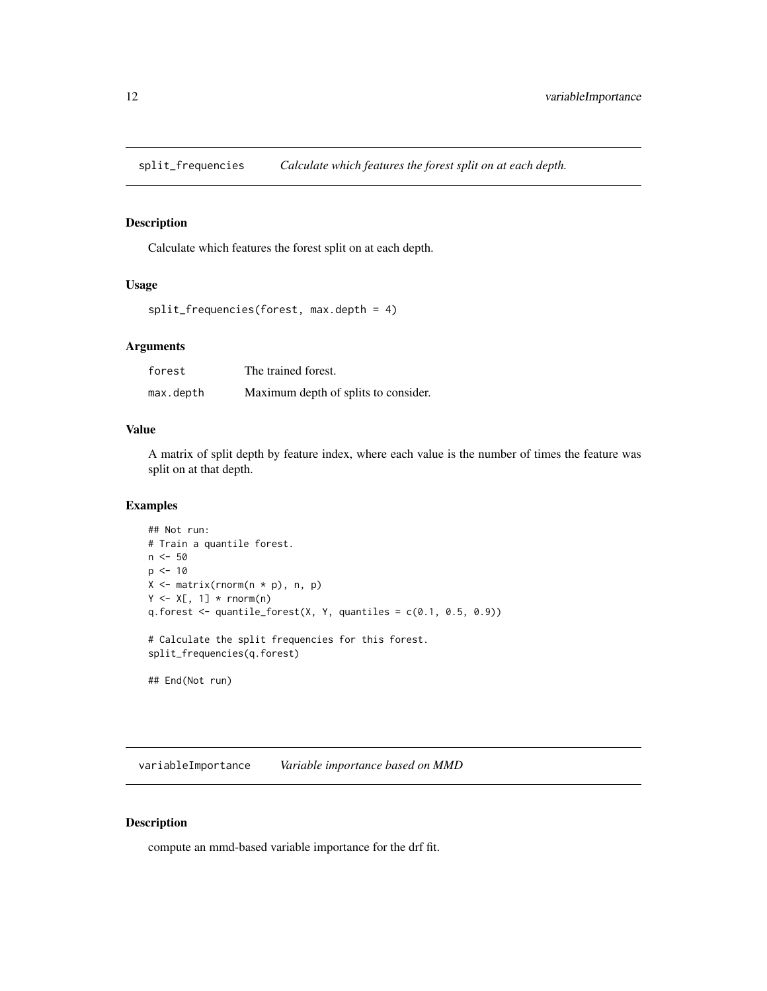<span id="page-11-0"></span>split\_frequencies *Calculate which features the forest split on at each depth.*

#### Description

Calculate which features the forest split on at each depth.

#### Usage

```
split_frequencies(forest, max.depth = 4)
```
#### Arguments

| forest    | The trained forest.                  |
|-----------|--------------------------------------|
| max.depth | Maximum depth of splits to consider. |

#### Value

A matrix of split depth by feature index, where each value is the number of times the feature was split on at that depth.

#### Examples

```
## Not run:
# Train a quantile forest.
n <- 50
p \le -10X \leftarrow matrix(rnorm(n * p), n, p)Y \leq X[, 1] * rnorm(n)q.forest \leq quantile_forest(X, Y, quantiles = c(0.1, 0.5, 0.9))
# Calculate the split frequencies for this forest.
split_frequencies(q.forest)
## End(Not run)
```
variableImportance *Variable importance based on MMD*

#### Description

compute an mmd-based variable importance for the drf fit.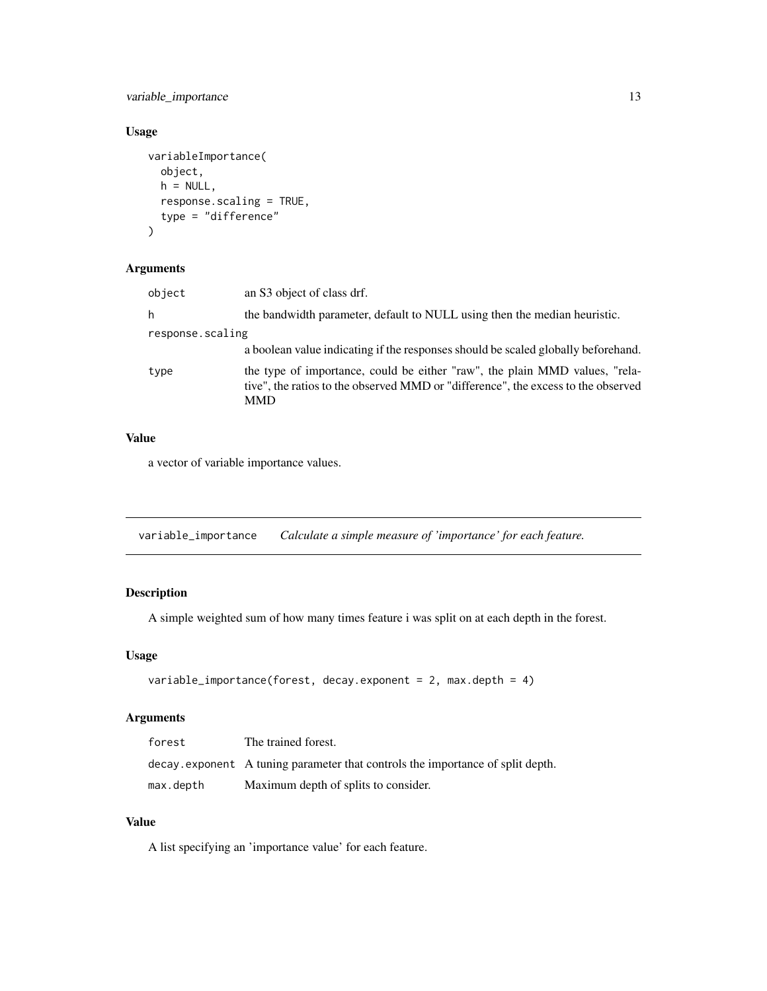<span id="page-12-0"></span>variable\_importance 13

#### Usage

```
variableImportance(
  object,
  h = NULL,response.scaling = TRUE,
  type = "difference"
)
```
#### Arguments

| object           | an S3 object of class drf.                                                                                                                                                     |
|------------------|--------------------------------------------------------------------------------------------------------------------------------------------------------------------------------|
| h                | the bandwidth parameter, default to NULL using then the median heuristic.                                                                                                      |
| response.scaling | a boolean value indicating if the responses should be scaled globally beforehand.                                                                                              |
| type             | the type of importance, could be either "raw", the plain MMD values, "rela-<br>tive", the ratios to the observed MMD or "difference", the excess to the observed<br><b>MMD</b> |

#### Value

a vector of variable importance values.

variable\_importance *Calculate a simple measure of 'importance' for each feature.*

#### Description

A simple weighted sum of how many times feature i was split on at each depth in the forest.

#### Usage

```
variable_importance(forest, decay.exponent = 2, max.depth = 4)
```
#### Arguments

| forest    | The trained forest.                                                            |
|-----------|--------------------------------------------------------------------------------|
|           | decay exponent A tuning parameter that controls the importance of split depth. |
| max.depth | Maximum depth of splits to consider.                                           |

#### Value

A list specifying an 'importance value' for each feature.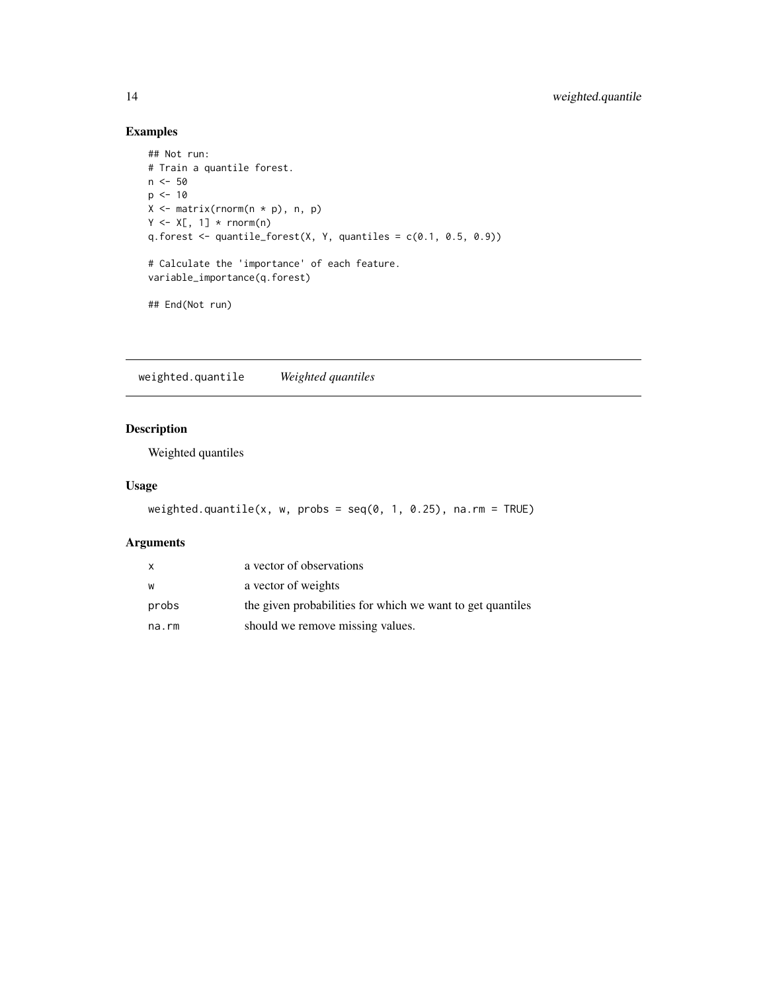#### Examples

```
## Not run:
# Train a quantile forest.
n < -50p \le -10X \leftarrow matrix(rnorm(n * p), n, p)Y \leftarrow X[, 1] * rnorm(n)q.forest \leq quantile_forest(X, Y, quantiles = c(0.1, 0.5, 0.9))
# Calculate the 'importance' of each feature.
variable_importance(q.forest)
## End(Not run)
```
weighted.quantile *Weighted quantiles*

#### Description

Weighted quantiles

#### Usage

```
weighted.quantile(x, w, probs = seq(0, 1, 0.25), na.rm = TRUE)
```

| X     | a vector of observations                                   |
|-------|------------------------------------------------------------|
| W     | a vector of weights                                        |
| probs | the given probabilities for which we want to get quantiles |
| na.rm | should we remove missing values.                           |

<span id="page-13-0"></span>